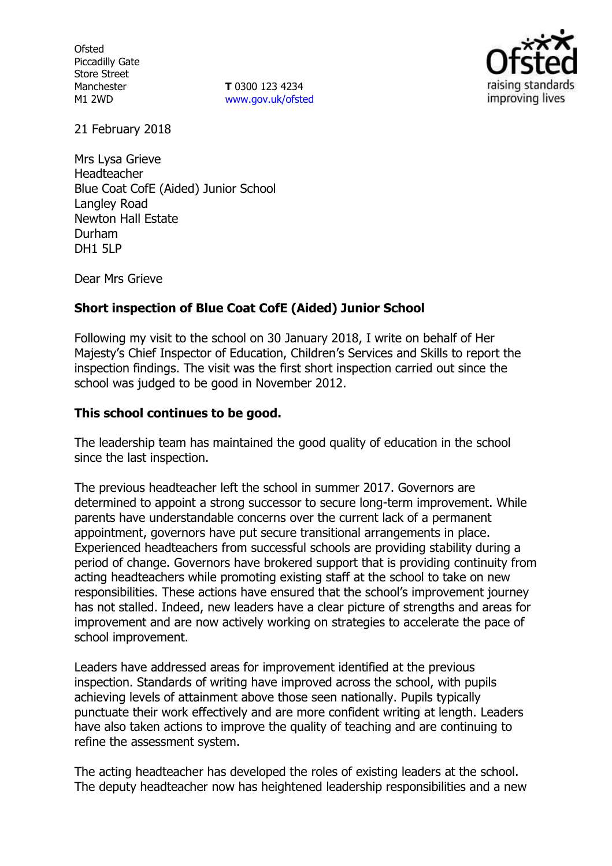**Ofsted** Piccadilly Gate Store Street Manchester M1 2WD

**T** 0300 123 4234 www.gov.uk/ofsted



21 February 2018

Mrs Lysa Grieve Headteacher Blue Coat CofE (Aided) Junior School Langley Road Newton Hall Estate Durham DH1 5LP

Dear Mrs Grieve

## **Short inspection of Blue Coat CofE (Aided) Junior School**

Following my visit to the school on 30 January 2018, I write on behalf of Her Majesty's Chief Inspector of Education, Children's Services and Skills to report the inspection findings. The visit was the first short inspection carried out since the school was judged to be good in November 2012.

### **This school continues to be good.**

The leadership team has maintained the good quality of education in the school since the last inspection.

The previous headteacher left the school in summer 2017. Governors are determined to appoint a strong successor to secure long-term improvement. While parents have understandable concerns over the current lack of a permanent appointment, governors have put secure transitional arrangements in place. Experienced headteachers from successful schools are providing stability during a period of change. Governors have brokered support that is providing continuity from acting headteachers while promoting existing staff at the school to take on new responsibilities. These actions have ensured that the school's improvement journey has not stalled. Indeed, new leaders have a clear picture of strengths and areas for improvement and are now actively working on strategies to accelerate the pace of school improvement.

Leaders have addressed areas for improvement identified at the previous inspection. Standards of writing have improved across the school, with pupils achieving levels of attainment above those seen nationally. Pupils typically punctuate their work effectively and are more confident writing at length. Leaders have also taken actions to improve the quality of teaching and are continuing to refine the assessment system.

The acting headteacher has developed the roles of existing leaders at the school. The deputy headteacher now has heightened leadership responsibilities and a new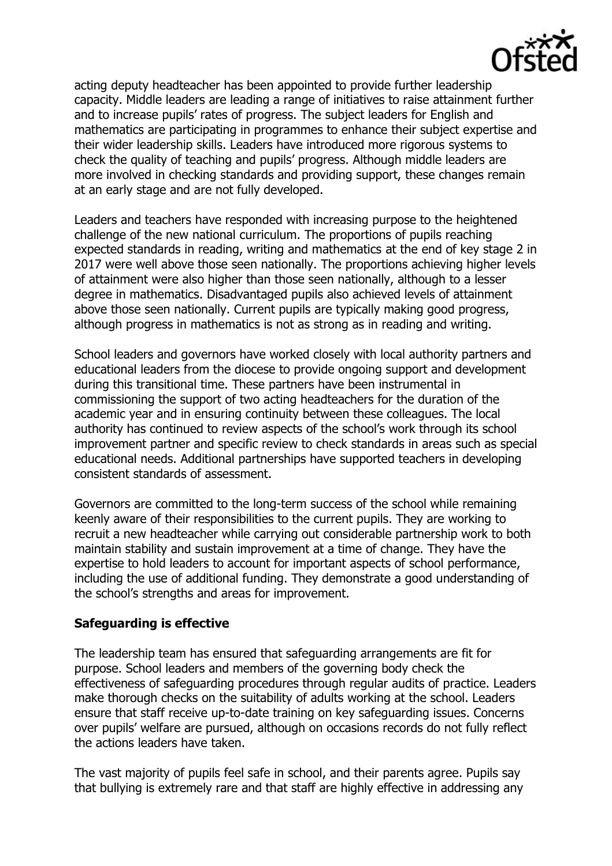

acting deputy headteacher has been appointed to provide further leadership capacity. Middle leaders are leading a range of initiatives to raise attainment further and to increase pupils' rates of progress. The subject leaders for English and mathematics are participating in programmes to enhance their subject expertise and their wider leadership skills. Leaders have introduced more rigorous systems to check the quality of teaching and pupils' progress. Although middle leaders are more involved in checking standards and providing support, these changes remain at an early stage and are not fully developed.

Leaders and teachers have responded with increasing purpose to the heightened challenge of the new national curriculum. The proportions of pupils reaching expected standards in reading, writing and mathematics at the end of key stage 2 in 2017 were well above those seen nationally. The proportions achieving higher levels of attainment were also higher than those seen nationally, although to a lesser degree in mathematics. Disadvantaged pupils also achieved levels of attainment above those seen nationally. Current pupils are typically making good progress, although progress in mathematics is not as strong as in reading and writing.

School leaders and governors have worked closely with local authority partners and educational leaders from the diocese to provide ongoing support and development during this transitional time. These partners have been instrumental in commissioning the support of two acting headteachers for the duration of the academic year and in ensuring continuity between these colleagues. The local authority has continued to review aspects of the school's work through its school improvement partner and specific review to check standards in areas such as special educational needs. Additional partnerships have supported teachers in developing consistent standards of assessment.

Governors are committed to the long-term success of the school while remaining keenly aware of their responsibilities to the current pupils. They are working to recruit a new headteacher while carrying out considerable partnership work to both maintain stability and sustain improvement at a time of change. They have the expertise to hold leaders to account for important aspects of school performance, including the use of additional funding. They demonstrate a good understanding of the school's strengths and areas for improvement.

# **Safeguarding is effective**

The leadership team has ensured that safeguarding arrangements are fit for purpose. School leaders and members of the governing body check the effectiveness of safeguarding procedures through regular audits of practice. Leaders make thorough checks on the suitability of adults working at the school. Leaders ensure that staff receive up-to-date training on key safeguarding issues. Concerns over pupils' welfare are pursued, although on occasions records do not fully reflect the actions leaders have taken.

The vast majority of pupils feel safe in school, and their parents agree. Pupils say that bullying is extremely rare and that staff are highly effective in addressing any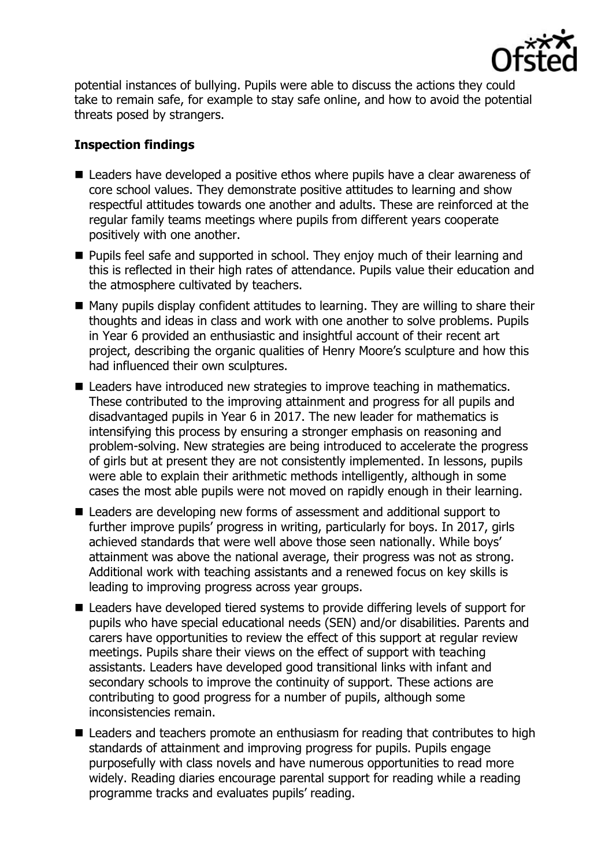

potential instances of bullying. Pupils were able to discuss the actions they could take to remain safe, for example to stay safe online, and how to avoid the potential threats posed by strangers.

# **Inspection findings**

- Leaders have developed a positive ethos where pupils have a clear awareness of core school values. They demonstrate positive attitudes to learning and show respectful attitudes towards one another and adults. These are reinforced at the regular family teams meetings where pupils from different years cooperate positively with one another.
- **Pupils feel safe and supported in school. They enjoy much of their learning and** this is reflected in their high rates of attendance. Pupils value their education and the atmosphere cultivated by teachers.
- $\blacksquare$  Many pupils display confident attitudes to learning. They are willing to share their thoughts and ideas in class and work with one another to solve problems. Pupils in Year 6 provided an enthusiastic and insightful account of their recent art project, describing the organic qualities of Henry Moore's sculpture and how this had influenced their own sculptures.
- Leaders have introduced new strategies to improve teaching in mathematics. These contributed to the improving attainment and progress for all pupils and disadvantaged pupils in Year 6 in 2017. The new leader for mathematics is intensifying this process by ensuring a stronger emphasis on reasoning and problem-solving. New strategies are being introduced to accelerate the progress of girls but at present they are not consistently implemented. In lessons, pupils were able to explain their arithmetic methods intelligently, although in some cases the most able pupils were not moved on rapidly enough in their learning.
- Leaders are developing new forms of assessment and additional support to further improve pupils' progress in writing, particularly for boys. In 2017, girls achieved standards that were well above those seen nationally. While boys' attainment was above the national average, their progress was not as strong. Additional work with teaching assistants and a renewed focus on key skills is leading to improving progress across year groups.
- Leaders have developed tiered systems to provide differing levels of support for pupils who have special educational needs (SEN) and/or disabilities. Parents and carers have opportunities to review the effect of this support at regular review meetings. Pupils share their views on the effect of support with teaching assistants. Leaders have developed good transitional links with infant and secondary schools to improve the continuity of support. These actions are contributing to good progress for a number of pupils, although some inconsistencies remain.
- Leaders and teachers promote an enthusiasm for reading that contributes to high standards of attainment and improving progress for pupils. Pupils engage purposefully with class novels and have numerous opportunities to read more widely. Reading diaries encourage parental support for reading while a reading programme tracks and evaluates pupils' reading.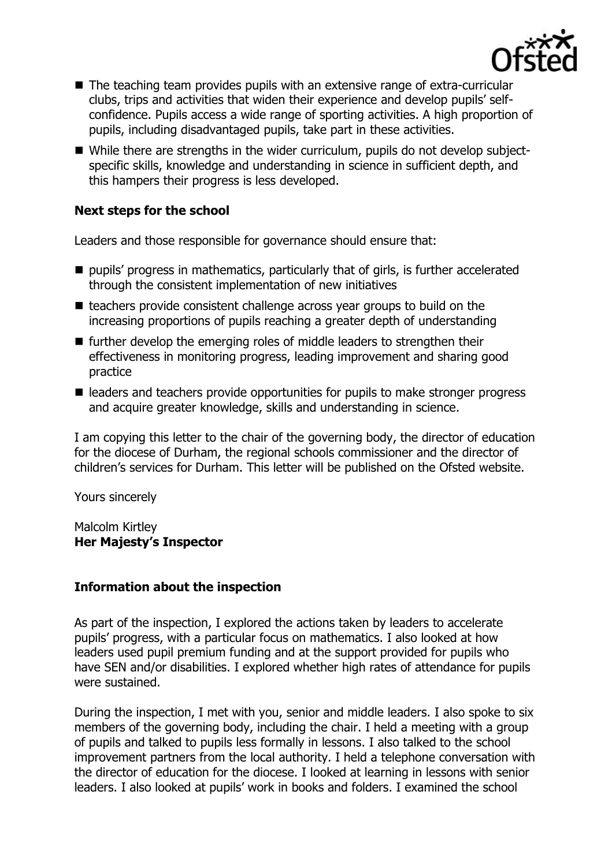

- The teaching team provides pupils with an extensive range of extra-curricular clubs, trips and activities that widen their experience and develop pupils' selfconfidence. Pupils access a wide range of sporting activities. A high proportion of pupils, including disadvantaged pupils, take part in these activities.
- While there are strengths in the wider curriculum, pupils do not develop subjectspecific skills, knowledge and understanding in science in sufficient depth, and this hampers their progress is less developed.

## **Next steps for the school**

Leaders and those responsible for governance should ensure that:

- **P** pupils' progress in mathematics, particularly that of girls, is further accelerated through the consistent implementation of new initiatives
- $\blacksquare$  teachers provide consistent challenge across year groups to build on the increasing proportions of pupils reaching a greater depth of understanding
- further develop the emerging roles of middle leaders to strengthen their effectiveness in monitoring progress, leading improvement and sharing good practice
- leaders and teachers provide opportunities for pupils to make stronger progress and acquire greater knowledge, skills and understanding in science.

I am copying this letter to the chair of the governing body, the director of education for the diocese of Durham, the regional schools commissioner and the director of children's services for Durham. This letter will be published on the Ofsted website.

Yours sincerely

#### Malcolm Kirtley **Her Majesty's Inspector**

### **Information about the inspection**

As part of the inspection, I explored the actions taken by leaders to accelerate pupils' progress, with a particular focus on mathematics. I also looked at how leaders used pupil premium funding and at the support provided for pupils who have SEN and/or disabilities. I explored whether high rates of attendance for pupils were sustained.

During the inspection, I met with you, senior and middle leaders. I also spoke to six members of the governing body, including the chair. I held a meeting with a group of pupils and talked to pupils less formally in lessons. I also talked to the school improvement partners from the local authority. I held a telephone conversation with the director of education for the diocese. I looked at learning in lessons with senior leaders. I also looked at pupils' work in books and folders. I examined the school